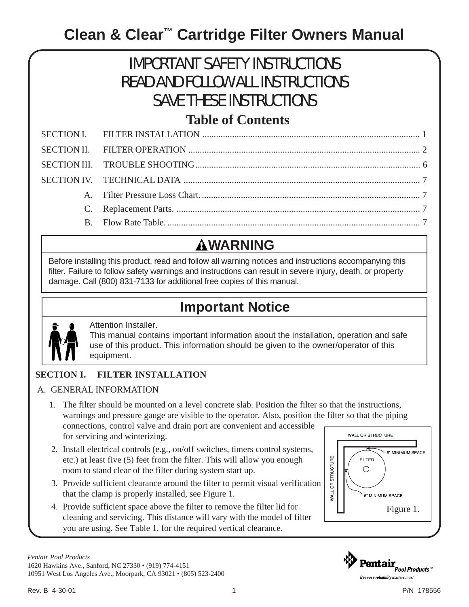# **Clean & Clear™ Cartridge Filter Owners Manual**

# IMPORTANT SAFETY INSTRUCTIONS READ AND FOLLOW ALL INSTRUCTIONS SAVE THESE INSTRUCTIONS

### **Table of Contents**

# **WARNING**

Before installing this product, read and follow all warning notices and instructions accompanying this filter. Failure to follow safety warnings and instructions can result in severe injury, death, or property damage. Call (800) 831-7133 for additional free copies of this manual.

### **Important Notice**



### Attention Installer.

This manual contains important information about the installation, operation and safe use of this product. This information should be given to the owner/operator of this equipment.

### **SECTION I. FILTER INSTALLATION**

### A. GENERAL INFORMATION

- 1. The filter should be mounted on a level concrete slab. Position the filter so that the instructions, warnings and pressure gauge are visible to the operator. Also, position the filter so that the piping connections, control valve and drain port are convenient and accessible WALL OR STRUCTURE for servicing and winterizing.
- 2. Install electrical controls (e.g., on/off switches, timers control systems, etc.) at least five (5) feet from the filter. This will allow you enough room to stand clear of the filter during system start up.
- 3. Provide sufficient clearance around the filter to permit visual verification that the clamp is properly installed, see Figure 1.
- 4. Provide sufficient space above the filter to remove the filter lid for cleaning and servicing. This distance will vary with the model of filter you are using. See Table 1, for the required vertical clearance.



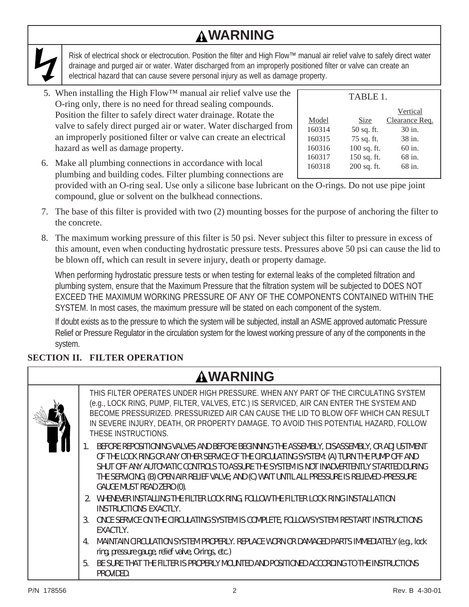# **WARNING**

Risk of electrical shock or electrocution. Position the filter and High Flow™ manual air relief valve to safely direct water drainage and purged air or water. Water discharged from an improperly positioned filter or valve can create an electrical hazard that can cause severe personal injury as well as damage property.

5. When installing the High Flow™ manual air relief valve use the O-ring only, there is no need for thread sealing compounds. Position the filter to safely direct water drainage. Rotate the valve to safely direct purged air or water. Water discharged from an improperly positioned filter or valve can create an electrical hazard as well as damage property.

| TABLE 1.    |                |
|-------------|----------------|
|             | Vertical       |
| Size        | Clearance Req. |
| 50 sq. ft.  | 30 in.         |
| 75 sq. ft.  | 38 in.         |
| 100 sq. ft. | 60 in.         |
| 150 sq. ft. | 68 in.         |
| 200 sq. ft. | 68 in.         |
|             |                |

6. Make all plumbing connections in accordance with local plumbing and building codes. Filter plumbing connections are provided with an O-ring seal. Use only a silicone base lubricant on the O-rings. Do not use pipe joint

compound, glue or solvent on the bulkhead connections.

- 7. The base of this filter is provided with two (2) mounting bosses for the purpose of anchoring the filter to the concrete.
- 8. The maximum working pressure of this filter is 50 psi. Never subject this filter to pressure in excess of this amount, even when conducting hydrostatic pressure tests. Pressures above 50 psi can cause the lid to be blown off, which can result in severe injury, death or property damage.

When performing hydrostatic pressure tests or when testing for external leaks of the completed filtration and plumbing system, ensure that the Maximum Pressure that the filtration system will be subjected to DOES NOT EXCEED THE MAXIMUM WORKING PRESSURE OF ANY OF THE COMPONENTS CONTAINED WITHIN THE SYSTEM. In most cases, the maximum pressure will be stated on each component of the system.

If doubt exists as to the pressure to which the system will be subjected, install an ASME approved automatic Pressure Relief or Pressure Regulator in the circulation system for the lowest working pressure of any of the components in the system.

### **SECTION II. FILTER OPERATION**

| <b>AWARNING</b>                                                                                                                                                                                                                                                                                                                                                                                                     |
|---------------------------------------------------------------------------------------------------------------------------------------------------------------------------------------------------------------------------------------------------------------------------------------------------------------------------------------------------------------------------------------------------------------------|
| THIS FILTER OPERATES UNDER HIGH PRESSURE. WHEN ANY PART OF THE CIRCULATING SYSTEM<br>(e.g., LOCK RING, PUMP, FILTER, VALVES, ETC.) IS SERVICED, AIR CAN ENTER THE SYSTEM AND<br>BECOME PRESSURIZED. PRESSURIZED AIR CAN CAUSE THE LID TO BLOW OFF WHICH CAN RESULT<br>IN SEVERE INJURY, DEATH, OR PROPERTY DAMAGE. TO AVOID THIS POTENTIAL HAZARD, FOLLOW<br>THESE INSTRUCTIONS.                                    |
| BEFORE REPOSITIONING VALVES AND BEFORE BEGINNING THE ASSEMBLY, DISASSEMBLY, OR ADJUSTMENT<br>OF THE LOCK RING OR ANY OTHER SERVICE OF THE CIRCULATING SYSTEM: (A) TURN THE PUMP OFF AND<br>SHUT OFF ANY AUTOMATIC CONTROLS TO ASSURE THE SYSTEM IS NOT INADVERTENTLY STARTED DURING<br>THE SERVICING; (B) OPEN AIR RELIEF VALVE; AND (C) WAIT UNTIL ALL PRESSURE IS RELIEVED -PRESSURE<br>GAUGE MUST READ ZERO (0). |
| 2. WHENEVER INSTALLING THE FILTER LOCK RING, FOLLOW THE FILTER LOCK RING INSTALLATION<br>INSTRUCTIONS EXACTLY.                                                                                                                                                                                                                                                                                                      |
| ONCE SERVICE ON THE CIRCULATING SYSTEM IS COMPLETE, FOLLOW SYSTEM RESTART INSTRUCTIONS<br>3.<br>EXACTLY.                                                                                                                                                                                                                                                                                                            |
| MAINTAIN CIRCULATION SYSTEM PROPERLY. REPLACE WORN OR DAMAGED PARTS IMMEDIATELY (e.g., lock<br>ring, pressure gauge, relief valve, O-rings, etc.)                                                                                                                                                                                                                                                                   |
| BE SURE THAT THE FILTER IS PROPERLY MOUNTED AND POSITIONED ACCORDING TO THE INSTRUCTIONS<br>5 <sub>1</sub><br>PROVIDED.                                                                                                                                                                                                                                                                                             |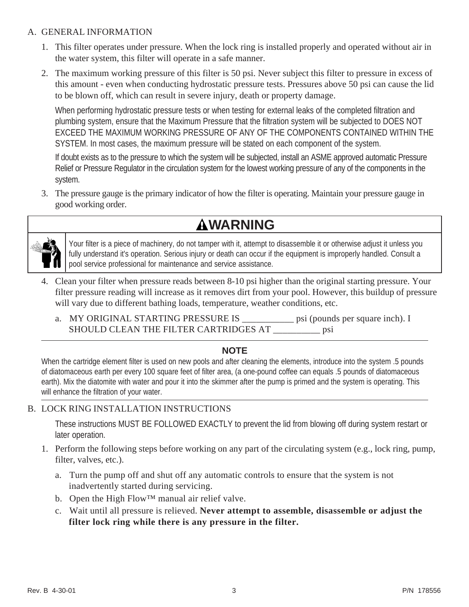#### A. GENERAL INFORMATION

- 1. This filter operates under pressure. When the lock ring is installed properly and operated without air in the water system, this filter will operate in a safe manner.
- 2. The maximum working pressure of this filter is 50 psi. Never subject this filter to pressure in excess of this amount - even when conducting hydrostatic pressure tests. Pressures above 50 psi can cause the lid to be blown off, which can result in severe injury, death or property damage.

When performing hydrostatic pressure tests or when testing for external leaks of the completed filtration and plumbing system, ensure that the Maximum Pressure that the filtration system will be subjected to DOES NOT EXCEED THE MAXIMUM WORKING PRESSURE OF ANY OF THE COMPONENTS CONTAINED WITHIN THE SYSTEM. In most cases, the maximum pressure will be stated on each component of the system.

If doubt exists as to the pressure to which the system will be subjected, install an ASME approved automatic Pressure Relief or Pressure Regulator in the circulation system for the lowest working pressure of any of the components in the system.

3. The pressure gauge is the primary indicator of how the filter is operating. Maintain your pressure gauge in good working order.





Your filter is a piece of machinery, do not tamper with it, attempt to disassemble it or otherwise adjust it unless you fully understand it's operation. Serious injury or death can occur if the equipment is improperly handled. Consult a pool service professional for maintenance and service assistance.

- 4. Clean your filter when pressure reads between 8-10 psi higher than the original starting pressure. Your filter pressure reading will increase as it removes dirt from your pool. However, this buildup of pressure will vary due to different bathing loads, temperature, weather conditions, etc.
	- a. MY ORIGINAL STARTING PRESSURE IS \_\_\_\_\_\_\_\_\_\_\_ psi (pounds per square inch). I SHOULD CLEAN THE FILTER CARTRIDGES AT \_\_\_\_\_\_\_\_\_\_\_ psi

### **NOTE**

When the cartridge element filter is used on new pools and after cleaning the elements, introduce into the system .5 pounds of diatomaceous earth per every 100 square feet of filter area, (a one-pound coffee can equals .5 pounds of diatomaceous earth). Mix the diatomite with water and pour it into the skimmer after the pump is primed and the system is operating. This will enhance the filtration of your water.

### B. LOCK RING INSTALLATION INSTRUCTIONS

These instructions MUST BE FOLLOWED EXACTLY to prevent the lid from blowing off during system restart or later operation.

- 1. Perform the following steps before working on any part of the circulating system (e.g., lock ring, pump, filter, valves, etc.).
	- a. Turn the pump off and shut off any automatic controls to ensure that the system is not inadvertently started during servicing.
	- b. Open the High Flow™ manual air relief valve.
	- c. Wait until all pressure is relieved. **Never attempt to assemble, disassemble or adjust the filter lock ring while there is any pressure in the filter.**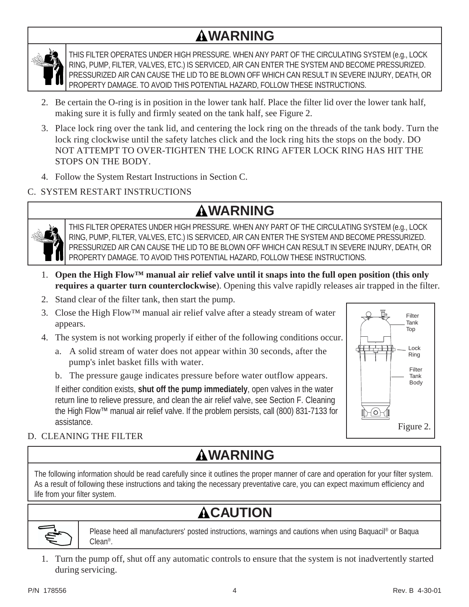# **WARNING**



THIS FILTER OPERATES UNDER HIGH PRESSURE. WHEN ANY PART OF THE CIRCULATING SYSTEM (e.g., LOCK RING, PUMP, FILTER, VALVES, ETC.) IS SERVICED, AIR CAN ENTER THE SYSTEM AND BECOME PRESSURIZED. PRESSURIZED AIR CAN CAUSE THE LID TO BE BLOWN OFF WHICH CAN RESULT IN SEVERE INJURY, DEATH, OR PROPERTY DAMAGE. TO AVOID THIS POTENTIAL HAZARD, FOLLOW THESE INSTRUCTIONS.

- 2. Be certain the O-ring is in position in the lower tank half. Place the filter lid over the lower tank half, making sure it is fully and firmly seated on the tank half, see Figure 2.
- 3. Place lock ring over the tank lid, and centering the lock ring on the threads of the tank body. Turn the lock ring clockwise until the safety latches click and the lock ring hits the stops on the body. DO NOT ATTEMPT TO OVER-TIGHTEN THE LOCK RING AFTER LOCK RING HAS HIT THE STOPS ON THE BODY.
- 4. Follow the System Restart Instructions in Section C.

### C. SYSTEM RESTART INSTRUCTIONS

### **WARNING**



THIS FILTER OPERATES UNDER HIGH PRESSURE. WHEN ANY PART OF THE CIRCULATING SYSTEM (e.g., LOCK RING, PUMP, FILTER, VALVES, ETC.) IS SERVICED, AIR CAN ENTER THE SYSTEM AND BECOME PRESSURIZED. PRESSURIZED AIR CAN CAUSE THE LID TO BE BLOWN OFF WHICH CAN RESULT IN SEVERE INJURY, DEATH, OR PROPERTY DAMAGE. TO AVOID THIS POTENTIAL HAZARD, FOLLOW THESE INSTRUCTIONS.

- 1. Open the High Flow<sup>TM</sup> manual air relief valve until it snaps into the full open position (this only **requires a quarter turn counterclockwise**). Opening this valve rapidly releases air trapped in the filter.
- 2. Stand clear of the filter tank, then start the pump.
- 3. Close the High Flow<sup>™</sup> manual air relief valve after a steady stream of water appears.
- 4. The system is not working properly if either of the following conditions occur.
	- a. A solid stream of water does not appear within 30 seconds, after the pump's inlet basket fills with water.
	- b. The pressure gauge indicates pressure before water outflow appears.

If either condition exists, **shut off the pump immediately**, open valves in the water return line to relieve pressure, and clean the air relief valve, see Section F. Cleaning the High Flow™ manual air relief valve. If the problem persists, call (800) 831-7133 for assistance.



### D. CLEANING THE FILTER

## **WARNING**

The following information should be read carefully since it outlines the proper manner of care and operation for your filter system. As a result of following these instructions and taking the necessary preventative care, you can expect maximum efficiency and life from your filter system.

# **ACAUTION**



Please heed all manufacturers' posted instructions, warnings and cautions when using Baquacil® or Baqua Clean®.

1. Turn the pump off, shut off any automatic controls to ensure that the system is not inadvertently started during servicing.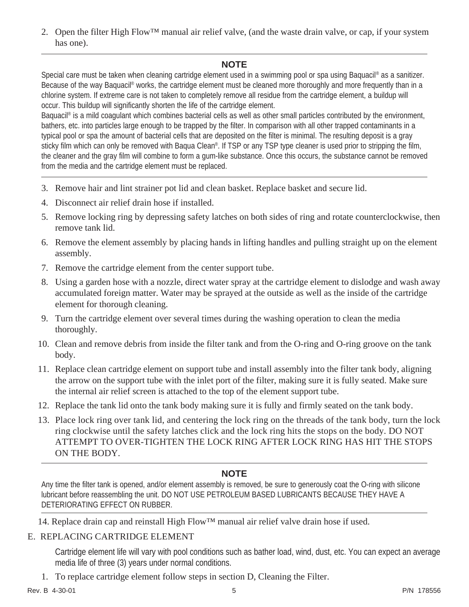2. Open the filter High Flow™ manual air relief valve, (and the waste drain valve, or cap, if your system has one).

### **NOTE**

Special care must be taken when cleaning cartridge element used in a swimming pool or spa using Baquacil® as a sanitizer. Because of the way Baquacil<sup>®</sup> works, the cartridge element must be cleaned more thoroughly and more frequently than in a chlorine system. If extreme care is not taken to completely remove all residue from the cartridge element, a buildup will occur. This buildup will significantly shorten the life of the cartridge element.

Baquacil® is a mild coagulant which combines bacterial cells as well as other small particles contributed by the environment, bathers, etc. into particles large enough to be trapped by the filter. In comparison with all other trapped contaminants in a typical pool or spa the amount of bacterial cells that are deposited on the filter is minimal. The resulting deposit is a gray sticky film which can only be removed with Baqua Clean®. If TSP or any TSP type cleaner is used prior to stripping the film, the cleaner and the gray film will combine to form a gum-like substance. Once this occurs, the substance cannot be removed from the media and the cartridge element must be replaced.

- 3. Remove hair and lint strainer pot lid and clean basket. Replace basket and secure lid.
- 4. Disconnect air relief drain hose if installed.
- 5. Remove locking ring by depressing safety latches on both sides of ring and rotate counterclockwise, then remove tank lid.
- 6. Remove the element assembly by placing hands in lifting handles and pulling straight up on the element assembly.
- 7. Remove the cartridge element from the center support tube.
- 8. Using a garden hose with a nozzle, direct water spray at the cartridge element to dislodge and wash away accumulated foreign matter. Water may be sprayed at the outside as well as the inside of the cartridge element for thorough cleaning.
- 9. Turn the cartridge element over several times during the washing operation to clean the media thoroughly.
- 10. Clean and remove debris from inside the filter tank and from the O-ring and O-ring groove on the tank body.
- 11. Replace clean cartridge element on support tube and install assembly into the filter tank body, aligning the arrow on the support tube with the inlet port of the filter, making sure it is fully seated. Make sure the internal air relief screen is attached to the top of the element support tube.
- 12. Replace the tank lid onto the tank body making sure it is fully and firmly seated on the tank body.
- 13. Place lock ring over tank lid, and centering the lock ring on the threads of the tank body, turn the lock ring clockwise until the safety latches click and the lock ring hits the stops on the body. DO NOT ATTEMPT TO OVER-TIGHTEN THE LOCK RING AFTER LOCK RING HAS HIT THE STOPS ON THE BODY.

### **NOTE**

Any time the filter tank is opened, and/or element assembly is removed, be sure to generously coat the O-ring with silicone lubricant before reassembling the unit. DO NOT USE PETROLEUM BASED LUBRICANTS BECAUSE THEY HAVE A DETERIORATING EFFECT ON RUBBER.

14. Replace drain cap and reinstall High Flow™ manual air relief valve drain hose if used.

#### E. REPLACING CARTRIDGE ELEMENT

Cartridge element life will vary with pool conditions such as bather load, wind, dust, etc. You can expect an average media life of three (3) years under normal conditions.

1. To replace cartridge element follow steps in section D, Cleaning the Filter.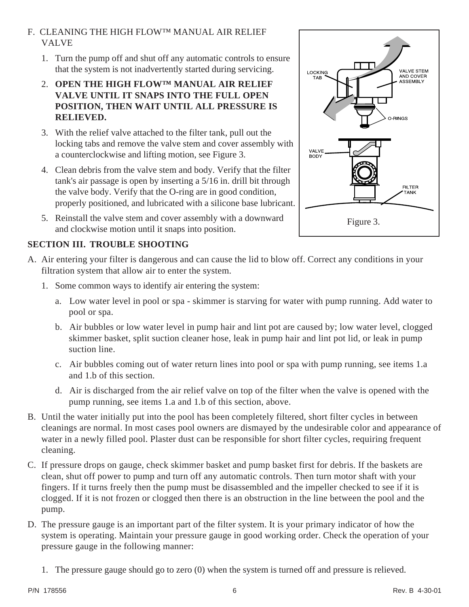### F. CLEANING THE HIGH FLOW™ MANUAL AIR RELIEF VALVE

- 1. Turn the pump off and shut off any automatic controls to ensure that the system is not inadvertently started during servicing.
- 2. **OPEN THE HIGH FLOW™ MANUAL AIR RELIEF VALVE UNTIL IT SNAPS INTO THE FULL OPEN POSITION, THEN WAIT UNTIL ALL PRESSURE IS RELIEVED.**
- 3. With the relief valve attached to the filter tank, pull out the locking tabs and remove the valve stem and cover assembly with a counterclockwise and lifting motion, see Figure 3.
- 4. Clean debris from the valve stem and body. Verify that the filter tank's air passage is open by inserting a 5/16 in. drill bit through the valve body. Verify that the O-ring are in good condition, properly positioned, and lubricated with a silicone base lubricant.
- 5. Reinstall the valve stem and cover assembly with a downward and clockwise motion until it snaps into position.

### **SECTION III. TROUBLE SHOOTING**

- A. Air entering your filter is dangerous and can cause the lid to blow off. Correct any conditions in your filtration system that allow air to enter the system.
	- 1. Some common ways to identify air entering the system:
		- a. Low water level in pool or spa skimmer is starving for water with pump running. Add water to pool or spa.
		- b. Air bubbles or low water level in pump hair and lint pot are caused by; low water level, clogged skimmer basket, split suction cleaner hose, leak in pump hair and lint pot lid, or leak in pump suction line.
		- c. Air bubbles coming out of water return lines into pool or spa with pump running, see items 1.a and 1.b of this section.
		- d. Air is discharged from the air relief valve on top of the filter when the valve is opened with the pump running, see items 1.a and 1.b of this section, above.
- B. Until the water initially put into the pool has been completely filtered, short filter cycles in between cleanings are normal. In most cases pool owners are dismayed by the undesirable color and appearance of water in a newly filled pool. Plaster dust can be responsible for short filter cycles, requiring frequent cleaning.
- C. If pressure drops on gauge, check skimmer basket and pump basket first for debris. If the baskets are clean, shut off power to pump and turn off any automatic controls. Then turn motor shaft with your fingers. If it turns freely then the pump must be disassembled and the impeller checked to see if it is clogged. If it is not frozen or clogged then there is an obstruction in the line between the pool and the pump.
- D. The pressure gauge is an important part of the filter system. It is your primary indicator of how the system is operating. Maintain your pressure gauge in good working order. Check the operation of your pressure gauge in the following manner:
	- 1. The pressure gauge should go to zero (0) when the system is turned off and pressure is relieved.



LOCKING

**TAB** 

BODY

VALVE STEM

AND COVER<br>ASSEMBLY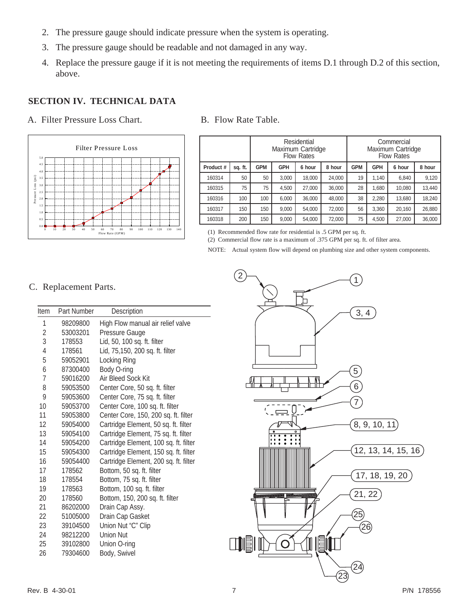- 2. The pressure gauge should indicate pressure when the system is operating.
- 3. The pressure gauge should be readable and not damaged in any way.
- 4. Replace the pressure gauge if it is not meeting the requirements of items D.1 through D.2 of this section, above.

### **SECTION IV. TECHNICAL DATA**

A. Filter Pressure Loss Chart. B. Flow Rate Table.



|           |         |            |            | Residential<br>Maximum Cartridge<br><b>Flow Rates</b> |        |            |            | Commercial<br>Maximum Cartridge<br><b>Flow Rates</b> |        |
|-----------|---------|------------|------------|-------------------------------------------------------|--------|------------|------------|------------------------------------------------------|--------|
| Product # | sq. ft. | <b>GPM</b> | <b>GPH</b> | 6 hour                                                | 8 hour | <b>GPM</b> | <b>GPH</b> | 6 hour                                               | 8 hour |
| 160314    | 50      | 50         | 3,000      | 18,000                                                | 24,000 | 19         | 1.140      | 6,840                                                | 9,120  |
| 160315    | 75      | 75         | 4,500      | 27,000                                                | 36,000 | 28         | 1,680      | 10.080                                               | 13,440 |
| 160316    | 100     | 100        | 6.000      | 36,000                                                | 48,000 | 38         | 2,280      | 13,680                                               | 18,240 |
| 160317    | 150     | 150        | 9,000      | 54,000                                                | 72,000 | 56         | 3,360      | 20,160                                               | 26,880 |
| 160318    | 200     | 150        | 9,000      | 54,000                                                | 72,000 | 75         | 4,500      | 27,000                                               | 36,000 |

(1) Recommended flow rate for residential is .5 GPM per sq. ft.

(2) Commercial flow rate is a maximum of .375 GPM per sq. ft. of filter area. NOTE: Actual system flow will depend on plumbing size and other system components.

C. Replacement Parts.

| Item | Part Number | Description                           |
|------|-------------|---------------------------------------|
| 1    | 98209800    | High Flow manual air relief valve     |
| 2    | 53003201    | Pressure Gauge                        |
| 3    | 178553      | Lid, 50, 100 sq. ft. filter           |
| 4    | 178561      | Lid, 75,150, 200 sq. ft. filter       |
| 5    | 59052901    | Locking Ring                          |
| 6    | 87300400    | Body O-ring                           |
| 7    | 59016200    | Air Bleed Sock Kit                    |
| 8    | 59053500    | Center Core, 50 sq. ft. filter        |
| 9    | 59053600    | Center Core, 75 sq. ft. filter        |
| 10   | 59053700    | Center Core, 100 sq. ft. filter       |
| 11   | 59053800    | Center Core, 150, 200 sq. ft. filter  |
| 12   | 59054000    | Cartridge Element, 50 sq. ft. filter  |
| 13   | 59054100    | Cartridge Element, 75 sq. ft. filter  |
| 14   | 59054200    | Cartridge Element, 100 sq. ft. filter |
| 15   | 59054300    | Cartridge Element, 150 sq. ft. filter |
| 16   | 59054400    | Cartridge Element, 200 sq. ft. filter |
| 17   | 178562      | Bottom, 50 sq. ft. filter             |
| 18   | 178554      | Bottom, 75 sq. ft. filter             |
| 19   | 178563      | Bottom, 100 sq. ft. filter            |
| 20   | 178560      | Bottom, 150, 200 sq. ft. filter       |
| 21   | 86202000    | Drain Cap Assy.                       |
| 22   | 51005000    | Drain Cap Gasket                      |
| 23   | 39104500    | Union Nut "C" Clip                    |
| 24   | 98212200    | <b>Union Nut</b>                      |
| 25   | 39102800    | Union O-ring                          |
| 26   | 79304600    | Body, Swivel                          |
|      |             |                                       |